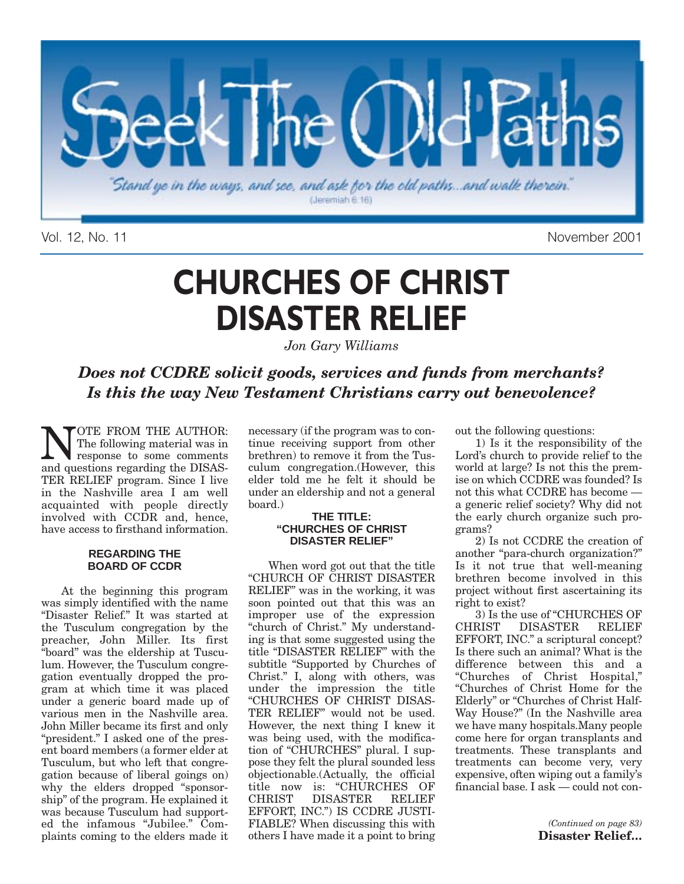

Vol. 12, No. 11 November 2001

## **CHURCHES OF CHRIST DISASTER RELIEF**

*Jon Gary Williams*

*Does not CCDRE solicit goods, services and funds from merchants? Is this the way New Testament Christians carry out benevolence?*

**NOTE FROM THE AUTHOR:**<br>The following material was in<br>response to some comments The following material was in and questions regarding the DISAS-TER RELIEF program. Since I live in the Nashville area I am well acquainted with people directly involved with CCDR and, hence, have access to firsthand information.

#### **REGARDING THE BOARD OF CCDR**

At the beginning this program was simply identified with the name "Disaster Relief." It was started at the Tusculum congregation by the preacher, John Miller. Its first "board" was the eldership at Tusculum. However, the Tusculum congregation eventually dropped the program at which time it was placed under a generic board made up of various men in the Nashville area. John Miller became its first and only "president." I asked one of the present board members (a former elder at Tusculum, but who left that congregation because of liberal goings on) why the elders dropped "sponsorship" of the program. He explained it was because Tusculum had supported the infamous "Jubilee." Complaints coming to the elders made it necessary (if the program was to continue receiving support from other brethren) to remove it from the Tusculum congregation.(However, this elder told me he felt it should be under an eldership and not a general board.)

#### **THE TITLE: "CHURCHES OF CHRIST DISASTER RELIEF"**

When word got out that the title "CHURCH OF CHRIST DISASTER RELIEF" was in the working, it was soon pointed out that this was an improper use of the expression "church of Christ." My understanding is that some suggested using the title "DISASTER RELIEF" with the subtitle "Supported by Churches of Christ." I, along with others, was under the impression the title "CHURCHES OF CHRIST DISAS-TER RELIEF" would not be used. However, the next thing I knew it was being used, with the modification of "CHURCHES" plural. I suppose they felt the plural sounded less objectionable.(Actually, the official title now is: "CHURCHES OF<br>CHRIST DISASTER RELIEF DISASTER EFFORT, INC.") IS CCDRE JUSTI-FIABLE? When discussing this with others I have made it a point to bring out the following questions:

1) Is it the responsibility of the Lord's church to provide relief to the world at large? Is not this the premise on which CCDRE was founded? Is not this what CCDRE has become a generic relief society? Why did not the early church organize such programs?

2) Is not CCDRE the creation of another "para-church organization?" Is it not true that well-meaning brethren become involved in this project without first ascertaining its right to exist?

3) Is the use of "CHURCHES OF<br>CHRIST DISASTER RELIEF DISASTER RELIEF EFFORT, INC." a scriptural concept? Is there such an animal? What is the difference between this and a "Churches of Christ Hospital," "Churches of Christ Home for the Elderly" or "Churches of Christ Half-Way House?" (In the Nashville area we have many hospitals.Many people come here for organ transplants and treatments. These transplants and treatments can become very, very expensive, often wiping out a family's financial base. I ask — could not con-

> *(Continued on page 83)* **Disaster Relief…**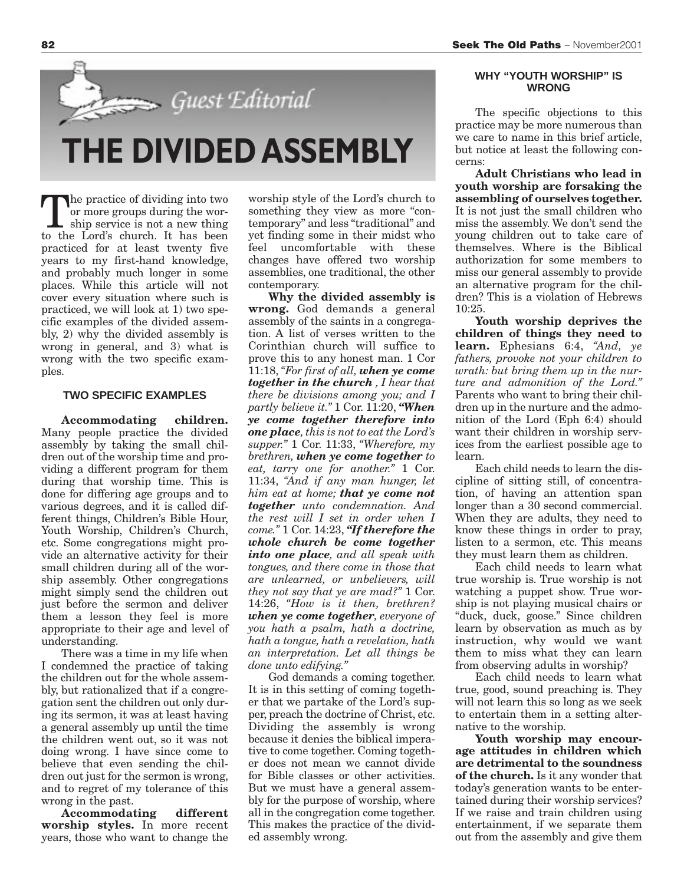

**THE DIVIDED ASSEMBLY**

The practice of dividing into two or more groups during the worship service is not a new thing to the Lord's church. It has been practiced for at least twenty five years to my first-hand knowledge, and probably much longer in some places. While this article will not cover every situation where such is practiced, we will look at 1) two specific examples of the divided assembly, 2) why the divided assembly is wrong in general, and 3) what is wrong with the two specific examples.

#### **TWO SPECIFIC EXAMPLES**

**Accommodating children.** Many people practice the divided assembly by taking the small children out of the worship time and providing a different program for them during that worship time. This is done for differing age groups and to various degrees, and it is called different things, Children's Bible Hour, Youth Worship, Children's Church, etc. Some congregations might provide an alternative activity for their small children during all of the worship assembly. Other congregations might simply send the children out just before the sermon and deliver them a lesson they feel is more appropriate to their age and level of understanding.

There was a time in my life when I condemned the practice of taking the children out for the whole assembly, but rationalized that if a congregation sent the children out only during its sermon, it was at least having a general assembly up until the time the children went out, so it was not doing wrong. I have since come to believe that even sending the children out just for the sermon is wrong, and to regret of my tolerance of this wrong in the past.

**Accommodating different worship styles.** In more recent years, those who want to change the worship style of the Lord's church to something they view as more "contemporary" and less "traditional" and yet finding some in their midst who feel uncomfortable with these changes have offered two worship assemblies, one traditional, the other contemporary.

**Why the divided assembly is wrong.** God demands a general assembly of the saints in a congregation. A list of verses written to the Corinthian church will suffice to prove this to any honest man. 1 Cor 11:18, *"For first of all, when ye come together in the church , I hear that there be divisions among you; and I partly believe it."* 1 Cor. 11:20, *"When ye come together therefore into one place, this is not to eat the Lord's supper."* 1 Cor. 11:33, *"Wherefore, my brethren, when ye come together to eat, tarry one for another."* 1 Cor. 11:34, *"And if any man hunger, let him eat at home; that ye come not together unto condemnation. And the rest will I set in order when I come."* 1 Cor. 14:23, *"If therefore the whole church be come together into one place, and all speak with tongues, and there come in those that are unlearned, or unbelievers, will they not say that ye are mad?"* 1 Cor. 14:26, *"How is it then, brethren? when ye come together, everyone of you hath a psalm, hath a doctrine, hath a tongue, hath a revelation, hath an interpretation. Let all things be done unto edifying."*

God demands a coming together. It is in this setting of coming together that we partake of the Lord's supper, preach the doctrine of Christ, etc. Dividing the assembly is wrong because it denies the biblical imperative to come together. Coming together does not mean we cannot divide for Bible classes or other activities. But we must have a general assembly for the purpose of worship, where all in the congregation come together. This makes the practice of the divided assembly wrong.

#### **WHY "YOUTH WORSHIP" IS WRONG**

The specific objections to this practice may be more numerous than we care to name in this brief article, but notice at least the following concerns:

**Adult Christians who lead in youth worship are forsaking the assembling of ourselves together.** It is not just the small children who miss the assembly. We don't send the young children out to take care of themselves. Where is the Biblical authorization for some members to miss our general assembly to provide an alternative program for the children? This is a violation of Hebrews 10:25.

**Youth worship deprives the children of things they need to learn.** Ephesians 6:4, *"And, ye fathers, provoke not your children to wrath: but bring them up in the nurture and admonition of the Lord."* Parents who want to bring their children up in the nurture and the admonition of the Lord (Eph 6:4) should want their children in worship services from the earliest possible age to learn.

Each child needs to learn the discipline of sitting still, of concentration, of having an attention span longer than a 30 second commercial. When they are adults, they need to know these things in order to pray, listen to a sermon, etc. This means they must learn them as children.

Each child needs to learn what true worship is. True worship is not watching a puppet show. True worship is not playing musical chairs or "duck, duck, goose." Since children learn by observation as much as by instruction, why would we want them to miss what they can learn from observing adults in worship?

Each child needs to learn what true, good, sound preaching is. They will not learn this so long as we seek to entertain them in a setting alternative to the worship.

**Youth worship may encourage attitudes in children which are detrimental to the soundness of the church.** Is it any wonder that today's generation wants to be entertained during their worship services? If we raise and train children using entertainment, if we separate them out from the assembly and give them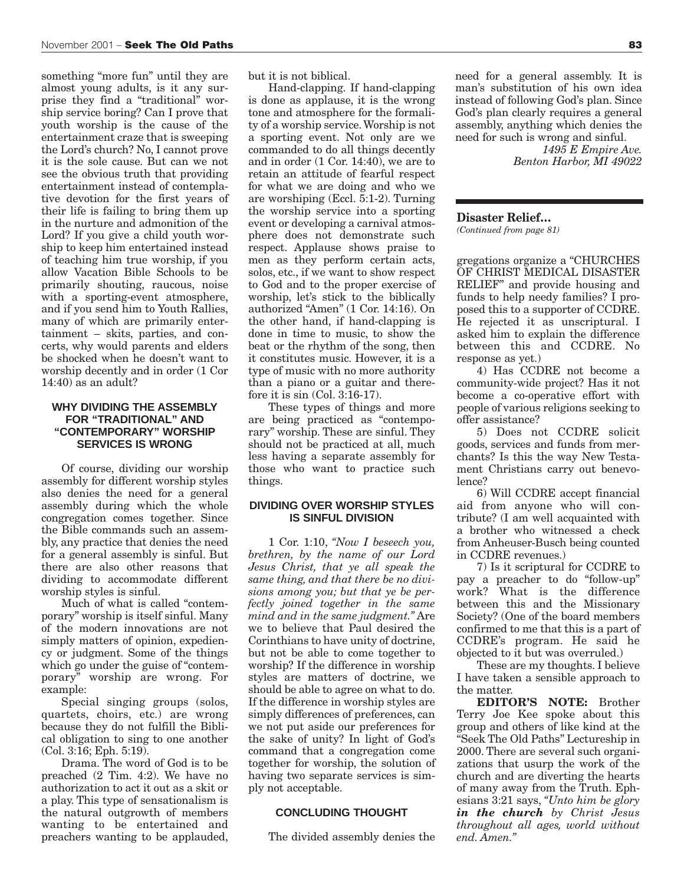something "more fun" until they are almost young adults, is it any surprise they find a "traditional" worship service boring? Can I prove that youth worship is the cause of the entertainment craze that is sweeping the Lord's church? No, I cannot prove it is the sole cause. But can we not see the obvious truth that providing entertainment instead of contemplative devotion for the first years of their life is failing to bring them up in the nurture and admonition of the Lord? If you give a child youth worship to keep him entertained instead of teaching him true worship, if you allow Vacation Bible Schools to be primarily shouting, raucous, noise with a sporting-event atmosphere, and if you send him to Youth Rallies, many of which are primarily entertainment – skits, parties, and concerts, why would parents and elders be shocked when he doesn't want to worship decently and in order (1 Cor 14:40) as an adult?

#### **WHY DIVIDING THE ASSEMBLY FOR "TRADITIONAL" AND "CONTEMPORARY" WORSHIP SERVICES IS WRONG**

Of course, dividing our worship assembly for different worship styles also denies the need for a general assembly during which the whole congregation comes together. Since the Bible commands such an assembly, any practice that denies the need for a general assembly is sinful. But there are also other reasons that dividing to accommodate different worship styles is sinful.

Much of what is called "contemporary" worship is itself sinful. Many of the modern innovations are not simply matters of opinion, expediency or judgment. Some of the things which go under the guise of "contemporary" worship are wrong. For example:

Special singing groups (solos, quartets, choirs, etc.) are wrong because they do not fulfill the Biblical obligation to sing to one another (Col. 3:16; Eph. 5:19).

Drama. The word of God is to be preached (2 Tim. 4:2). We have no authorization to act it out as a skit or a play. This type of sensationalism is the natural outgrowth of members wanting to be entertained and preachers wanting to be applauded, but it is not biblical.

Hand-clapping. If hand-clapping is done as applause, it is the wrong tone and atmosphere for the formality of a worship service. Worship is not a sporting event. Not only are we commanded to do all things decently and in order (1 Cor. 14:40), we are to retain an attitude of fearful respect for what we are doing and who we are worshiping (Eccl. 5:1-2). Turning the worship service into a sporting event or developing a carnival atmosphere does not demonstrate such respect. Applause shows praise to men as they perform certain acts, solos, etc., if we want to show respect to God and to the proper exercise of worship, let's stick to the biblically authorized "Amen" (1 Cor. 14:16). On the other hand, if hand-clapping is done in time to music, to show the beat or the rhythm of the song, then it constitutes music. However, it is a type of music with no more authority than a piano or a guitar and therefore it is sin (Col. 3:16-17).

These types of things and more are being practiced as "contemporary" worship. These are sinful. They should not be practiced at all, much less having a separate assembly for those who want to practice such things.

#### **DIVIDING OVER WORSHIP STYLES IS SINFUL DIVISION**

1 Cor. 1:10, *"Now I beseech you, brethren, by the name of our Lord Jesus Christ, that ye all speak the same thing, and that there be no divisions among you; but that ye be perfectly joined together in the same mind and in the same judgment."* Are we to believe that Paul desired the Corinthians to have unity of doctrine, but not be able to come together to worship? If the difference in worship styles are matters of doctrine, we should be able to agree on what to do. If the difference in worship styles are simply differences of preferences, can we not put aside our preferences for the sake of unity? In light of God's command that a congregation come together for worship, the solution of having two separate services is simply not acceptable.

#### **CONCLUDING THOUGHT**

The divided assembly denies the

need for a general assembly. It is man's substitution of his own idea instead of following God's plan. Since God's plan clearly requires a general assembly, anything which denies the need for such is wrong and sinful.

> *1495 E Empire Ave. Benton Harbor, MI 49022*

#### **Disaster Relief…**

*(Continued from page 81)*

gregations organize a "CHURCHES OF CHRIST MEDICAL DISASTER RELIEF" and provide housing and funds to help needy families? I proposed this to a supporter of CCDRE. He rejected it as unscriptural. I asked him to explain the difference between this and CCDRE. No response as yet.)

4) Has CCDRE not become a community-wide project? Has it not become a co-operative effort with people of various religions seeking to offer assistance?

5) Does not CCDRE solicit goods, services and funds from merchants? Is this the way New Testament Christians carry out benevolence?

6) Will CCDRE accept financial aid from anyone who will contribute? (I am well acquainted with a brother who witnessed a check from Anheuser-Busch being counted in CCDRE revenues.)

7) Is it scriptural for CCDRE to pay a preacher to do "follow-up" work? What is the difference between this and the Missionary Society? (One of the board members confirmed to me that this is a part of CCDRE's program. He said he objected to it but was overruled.)

These are my thoughts. I believe I have taken a sensible approach to the matter.

**EDITOR'S NOTE:** Brother Terry Joe Kee spoke about this group and others of like kind at the "Seek The Old Paths" Lectureship in 2000. There are several such organizations that usurp the work of the church and are diverting the hearts of many away from the Truth. Ephesians 3:21 says, *"Unto him be glory in the church by Christ Jesus throughout all ages, world without end. Amen."*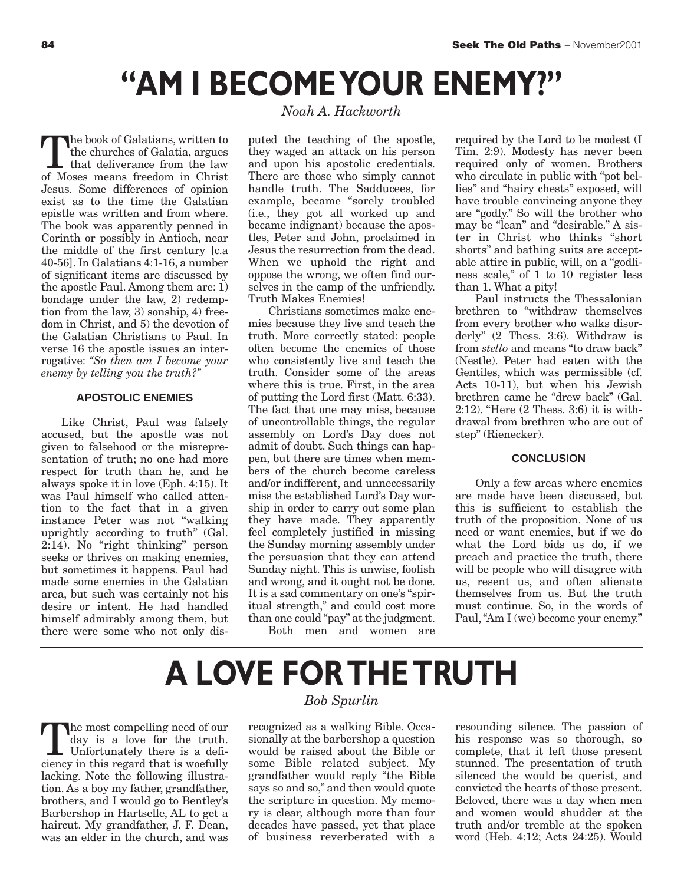### **"AM I BECOME YOUR ENEMY?"**

The book of Galatians, written to the churches of Galatia, argues that deliverance from the law of Moses means freedom in Christ Jesus. Some differences of opinion exist as to the time the Galatian epistle was written and from where. The book was apparently penned in Corinth or possibly in Antioch, near the middle of the first century [c.a 40-56]. In Galatians 4:1-16, a number of significant items are discussed by the apostle Paul. Among them are: 1) bondage under the law, 2) redemption from the law, 3) sonship, 4) freedom in Christ, and 5) the devotion of the Galatian Christians to Paul. In verse 16 the apostle issues an interrogative: *"So then am I become your enemy by telling you the truth?"*

#### **APOSTOLIC ENEMIES**

Like Christ, Paul was falsely accused, but the apostle was not given to falsehood or the misrepresentation of truth; no one had more respect for truth than he, and he always spoke it in love (Eph. 4:15). It was Paul himself who called attention to the fact that in a given instance Peter was not "walking uprightly according to truth" (Gal. 2:14). No "right thinking" person seeks or thrives on making enemies, but sometimes it happens. Paul had made some enemies in the Galatian area, but such was certainly not his desire or intent. He had handled himself admirably among them, but there were some who not only dis-

#### *Noah A. Hackworth*

puted the teaching of the apostle, they waged an attack on his person and upon his apostolic credentials. There are those who simply cannot handle truth. The Sadducees, for example, became "sorely troubled (i.e., they got all worked up and became indignant) because the apostles, Peter and John, proclaimed in Jesus the resurrection from the dead. When we uphold the right and oppose the wrong, we often find ourselves in the camp of the unfriendly. Truth Makes Enemies!

Christians sometimes make enemies because they live and teach the truth. More correctly stated: people often become the enemies of those who consistently live and teach the truth. Consider some of the areas where this is true. First, in the area of putting the Lord first (Matt. 6:33). The fact that one may miss, because of uncontrollable things, the regular assembly on Lord's Day does not admit of doubt. Such things can happen, but there are times when members of the church become careless and/or indifferent, and unnecessarily miss the established Lord's Day worship in order to carry out some plan they have made. They apparently feel completely justified in missing the Sunday morning assembly under the persuasion that they can attend Sunday night. This is unwise, foolish and wrong, and it ought not be done. It is a sad commentary on one's "spiritual strength," and could cost more than one could "pay" at the judgment.

Both men and women are

required by the Lord to be modest (I Tim. 2:9). Modesty has never been required only of women. Brothers who circulate in public with "pot bellies" and "hairy chests" exposed, will have trouble convincing anyone they are "godly." So will the brother who may be "lean" and "desirable." A sister in Christ who thinks "short shorts" and bathing suits are acceptable attire in public, will, on a "godliness scale," of 1 to 10 register less than 1. What a pity!

Paul instructs the Thessalonian brethren to "withdraw themselves from every brother who walks disorderly" (2 Thess. 3:6). Withdraw is from *stello* and means "to draw back" (Nestle). Peter had eaten with the Gentiles, which was permissible (cf. Acts 10-11), but when his Jewish brethren came he "drew back" (Gal. 2:12). "Here (2 Thess. 3:6) it is withdrawal from brethren who are out of step" (Rienecker).

#### **CONCLUSION**

Only a few areas where enemies are made have been discussed, but this is sufficient to establish the truth of the proposition. None of us need or want enemies, but if we do what the Lord bids us do, if we preach and practice the truth, there will be people who will disagree with us, resent us, and often alienate themselves from us. But the truth must continue. So, in the words of Paul, "Am I (we) become your enemy."

# **A LOVE FOR THE TRUTH**

The most compelling need of our<br>day is a love for the truth.<br>Unfortunately there is a defi-<br>ciancy in this regard that is woofully day is a love for the truth. ciency in this regard that is woefully lacking. Note the following illustration. As a boy my father, grandfather, brothers, and I would go to Bentley's Barbershop in Hartselle, AL to get a haircut. My grandfather, J. F. Dean, was an elder in the church, and was

#### *Bob Spurlin*

recognized as a walking Bible. Occasionally at the barbershop a question would be raised about the Bible or some Bible related subject. My grandfather would reply "the Bible says so and so," and then would quote the scripture in question. My memory is clear, although more than four decades have passed, yet that place of business reverberated with a

resounding silence. The passion of his response was so thorough, so complete, that it left those present stunned. The presentation of truth silenced the would be querist, and convicted the hearts of those present. Beloved, there was a day when men and women would shudder at the truth and/or tremble at the spoken word (Heb. 4:12; Acts 24:25). Would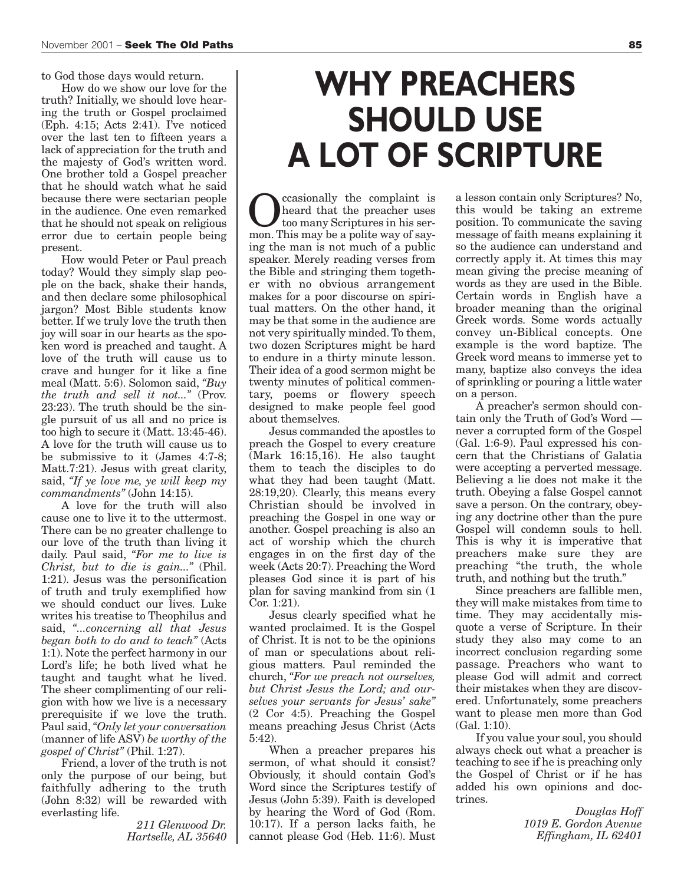to God those days would return.

How do we show our love for the truth? Initially, we should love hearing the truth or Gospel proclaimed (Eph. 4:15; Acts 2:41). I've noticed over the last ten to fifteen years a lack of appreciation for the truth and the majesty of God's written word. One brother told a Gospel preacher that he should watch what he said because there were sectarian people in the audience. One even remarked that he should not speak on religious error due to certain people being present.

How would Peter or Paul preach today? Would they simply slap people on the back, shake their hands, and then declare some philosophical jargon? Most Bible students know better. If we truly love the truth then joy will soar in our hearts as the spoken word is preached and taught. A love of the truth will cause us to crave and hunger for it like a fine meal (Matt. 5:6). Solomon said, *"Buy the truth and sell it not..."* (Prov. 23:23). The truth should be the single pursuit of us all and no price is too high to secure it (Matt. 13:45-46). A love for the truth will cause us to be submissive to it (James 4:7-8; Matt.7:21). Jesus with great clarity, said, *"If ye love me, ye will keep my commandments"* (John 14:15).

A love for the truth will also cause one to live it to the uttermost. There can be no greater challenge to our love of the truth than living it daily. Paul said, *"For me to live is Christ, but to die is gain..."* (Phil. 1:21). Jesus was the personification of truth and truly exemplified how we should conduct our lives. Luke writes his treatise to Theophilus and said, *"...concerning all that Jesus began both to do and to teach"* (Acts 1:1). Note the perfect harmony in our Lord's life; he both lived what he taught and taught what he lived. The sheer complimenting of our religion with how we live is a necessary prerequisite if we love the truth. Paul said,*"Only let your conversation* (manner of life ASV) *be worthy of the gospel of Christ"* (Phil. 1:27).

Friend, a lover of the truth is not only the purpose of our being, but faithfully adhering to the truth (John 8:32) will be rewarded with everlasting life.

*211 Glenwood Dr. Hartselle, AL 35640*

### **WHY PREACHERS SHOULD USE A LOT OF SCRIPTURE**

**C** casionally the complaint is<br>too many Scriptures in his ser-<br>mon This may be a polita way of sayheard that the preacher uses too many Scriptures in his sermon. This may be a polite way of saying the man is not much of a public speaker. Merely reading verses from the Bible and stringing them together with no obvious arrangement makes for a poor discourse on spiritual matters. On the other hand, it may be that some in the audience are not very spiritually minded. To them, two dozen Scriptures might be hard to endure in a thirty minute lesson. Their idea of a good sermon might be twenty minutes of political commentary, poems or flowery speech designed to make people feel good about themselves.

Jesus commanded the apostles to preach the Gospel to every creature (Mark 16:15,16). He also taught them to teach the disciples to do what they had been taught (Matt. 28:19,20). Clearly, this means every Christian should be involved in preaching the Gospel in one way or another. Gospel preaching is also an act of worship which the church engages in on the first day of the week (Acts 20:7). Preaching the Word pleases God since it is part of his plan for saving mankind from sin (1 Cor. 1:21).

Jesus clearly specified what he wanted proclaimed. It is the Gospel of Christ. It is not to be the opinions of man or speculations about religious matters. Paul reminded the church, *"For we preach not ourselves, but Christ Jesus the Lord; and ourselves your servants for Jesus' sake"* (2 Cor 4:5). Preaching the Gospel means preaching Jesus Christ (Acts 5:42).

When a preacher prepares his sermon, of what should it consist? Obviously, it should contain God's Word since the Scriptures testify of Jesus (John 5:39). Faith is developed by hearing the Word of God (Rom. 10:17). If a person lacks faith, he cannot please God (Heb. 11:6). Must a lesson contain only Scriptures? No, this would be taking an extreme position. To communicate the saving message of faith means explaining it so the audience can understand and correctly apply it. At times this may mean giving the precise meaning of words as they are used in the Bible. Certain words in English have a broader meaning than the original Greek words. Some words actually convey un-Biblical concepts. One example is the word baptize. The Greek word means to immerse yet to many, baptize also conveys the idea of sprinkling or pouring a little water on a person.

A preacher's sermon should contain only the Truth of God's Word never a corrupted form of the Gospel (Gal. 1:6-9). Paul expressed his concern that the Christians of Galatia were accepting a perverted message. Believing a lie does not make it the truth. Obeying a false Gospel cannot save a person. On the contrary, obeying any doctrine other than the pure Gospel will condemn souls to hell. This is why it is imperative that preachers make sure they are preaching "the truth, the whole truth, and nothing but the truth."

Since preachers are fallible men, they will make mistakes from time to time. They may accidentally misquote a verse of Scripture. In their study they also may come to an incorrect conclusion regarding some passage. Preachers who want to please God will admit and correct their mistakes when they are discovered. Unfortunately, some preachers want to please men more than God (Gal. 1:10).

If you value your soul, you should always check out what a preacher is teaching to see if he is preaching only the Gospel of Christ or if he has added his own opinions and doctrines.

> *Douglas Hoff 1019 E. Gordon Avenue Effingham, IL 62401*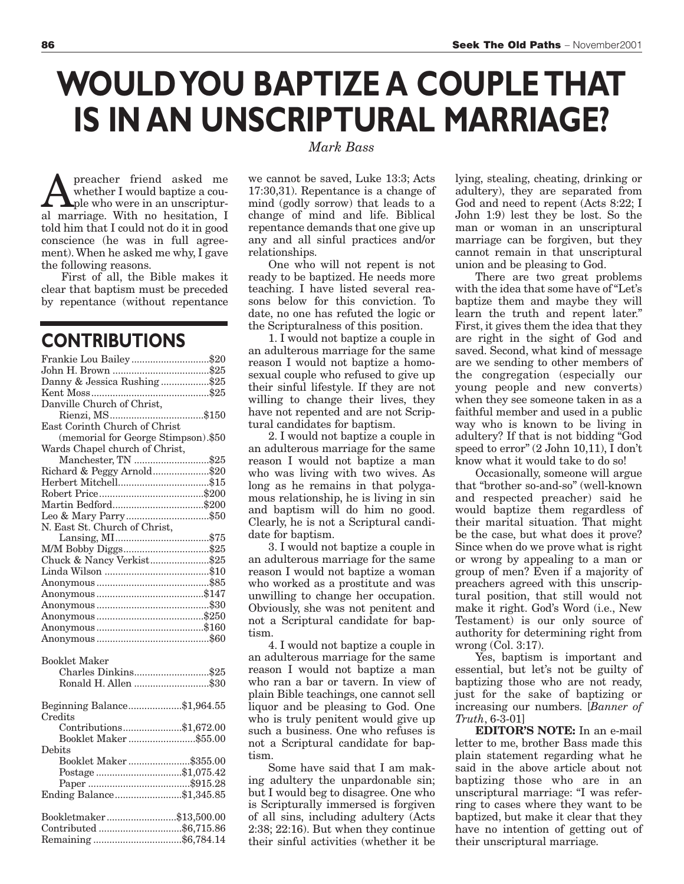### **WOULD YOU BAPTIZE A COUPLE THAT IS IN AN UNSCRIPTURAL MARRIAGE?**  *Mark Bass*

preacher friend asked me whether I would baptize a couple who were in an unscriptural marriage. With no hesitation, I told him that I could not do it in good conscience (he was in full agreement). When he asked me why, I gave the following reasons.

First of all, the Bible makes it clear that baptism must be preceded by repentance (without repentance

### **CONTRIBUTIONS**

| Frankie Lou Bailey\$20              |  |
|-------------------------------------|--|
|                                     |  |
| Danny & Jessica Rushing \$25        |  |
|                                     |  |
| Danville Church of Christ,          |  |
|                                     |  |
| East Corinth Church of Christ       |  |
| (memorial for George Stimpson).\$50 |  |
| Wards Chapel church of Christ,      |  |
| Manchester, TN \$25                 |  |
| Richard & Peggy Arnold\$20          |  |
|                                     |  |
|                                     |  |
|                                     |  |
|                                     |  |
| N. East St. Church of Christ,       |  |
|                                     |  |
| M/M Bobby Diggs\$25                 |  |
| Chuck & Nancy Verkist\$25           |  |
|                                     |  |
|                                     |  |
|                                     |  |
|                                     |  |
|                                     |  |
|                                     |  |
|                                     |  |
|                                     |  |
| <b>Booklet Maker</b>                |  |
| Charles Dinkins\$25                 |  |
| Ronald H. Allen \$30                |  |
|                                     |  |
| Beginning Balance\$1,964.55         |  |
| Credits                             |  |
| Contributions\$1,672.00             |  |
| Booklet Maker\$55.00                |  |
| Debits                              |  |
| Booklet Maker\$355.00               |  |
| Postage\$1,075.42                   |  |
|                                     |  |
| Ending Balance\$1,345.85            |  |
|                                     |  |
| Bookletmaker\$13,500.00             |  |
| Contributed \$6,715.86              |  |
|                                     |  |
|                                     |  |

we cannot be saved, Luke 13:3; Acts 17:30,31). Repentance is a change of mind (godly sorrow) that leads to a change of mind and life. Biblical repentance demands that one give up any and all sinful practices and/or relationships.

One who will not repent is not ready to be baptized. He needs more teaching. I have listed several reasons below for this conviction. To date, no one has refuted the logic or the Scripturalness of this position.

1. I would not baptize a couple in an adulterous marriage for the same reason I would not baptize a homosexual couple who refused to give up their sinful lifestyle. If they are not willing to change their lives, they have not repented and are not Scriptural candidates for baptism.

2. I would not baptize a couple in an adulterous marriage for the same reason I would not baptize a man who was living with two wives. As long as he remains in that polygamous relationship, he is living in sin and baptism will do him no good. Clearly, he is not a Scriptural candidate for baptism.

3. I would not baptize a couple in an adulterous marriage for the same reason I would not baptize a woman who worked as a prostitute and was unwilling to change her occupation. Obviously, she was not penitent and not a Scriptural candidate for baptism.

4. I would not baptize a couple in an adulterous marriage for the same reason I would not baptize a man who ran a bar or tavern. In view of plain Bible teachings, one cannot sell liquor and be pleasing to God. One who is truly penitent would give up such a business. One who refuses is not a Scriptural candidate for baptism.

Some have said that I am making adultery the unpardonable sin; but I would beg to disagree. One who is Scripturally immersed is forgiven of all sins, including adultery (Acts 2:38; 22:16). But when they continue their sinful activities (whether it be

lying, stealing, cheating, drinking or adultery), they are separated from God and need to repent (Acts 8:22; I John 1:9) lest they be lost. So the man or woman in an unscriptural marriage can be forgiven, but they cannot remain in that unscriptural union and be pleasing to God.

There are two great problems with the idea that some have of "Let's baptize them and maybe they will learn the truth and repent later." First, it gives them the idea that they are right in the sight of God and saved. Second, what kind of message are we sending to other members of the congregation (especially our young people and new converts) when they see someone taken in as a faithful member and used in a public way who is known to be living in adultery? If that is not bidding "God speed to error" (2 John 10,11), I don't know what it would take to do so!

Occasionally, someone will argue that "brother so-and-so" (well-known and respected preacher) said he would baptize them regardless of their marital situation. That might be the case, but what does it prove? Since when do we prove what is right or wrong by appealing to a man or group of men? Even if a majority of preachers agreed with this unscriptural position, that still would not make it right. God's Word (i.e., New Testament) is our only source of authority for determining right from wrong (Col. 3:17).

Yes, baptism is important and essential, but let's not be guilty of baptizing those who are not ready, just for the sake of baptizing or increasing our numbers. [*Banner of Truth*, 6-3-01]

**EDITOR'S NOTE:** In an e-mail letter to me, brother Bass made this plain statement regarding what he said in the above article about not baptizing those who are in an unscriptural marriage: "I was referring to cases where they want to be baptized, but make it clear that they have no intention of getting out of their unscriptural marriage.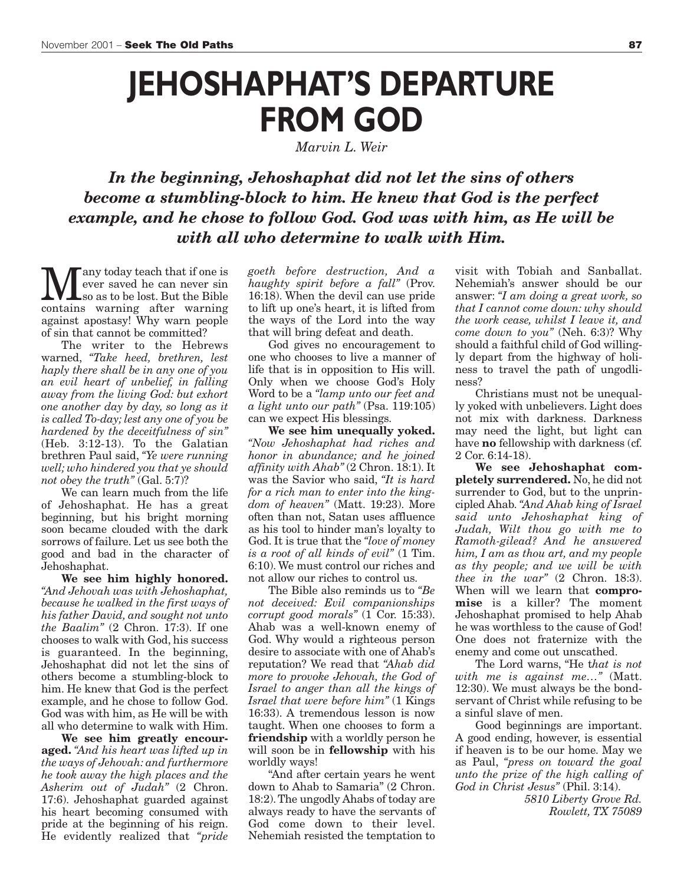### **JEHOSHAPHAT'S DEPARTURE FROM GOD**

*Marvin L. Weir*

*In the beginning, Jehoshaphat did not let the sins of others become a stumbling-block to him. He knew that God is the perfect example, and he chose to follow God. God was with him, as He will be with all who determine to walk with Him.*

**M** any today teach that if one is<br>so as to be lost. But the Bible<br>contains warning after warning ever saved he can never sin contains warning after warning against apostasy! Why warn people of sin that cannot be committed?

The writer to the Hebrews warned, *"Take heed, brethren, lest haply there shall be in any one of you an evil heart of unbelief, in falling away from the living God: but exhort one another day by day, so long as it is called To-day; lest any one of you be hardened by the deceitfulness of sin"* (Heb. 3:12-13). To the Galatian brethren Paul said, *"Ye were running well; who hindered you that ye should not obey the truth"* (Gal. 5:7)?

We can learn much from the life of Jehoshaphat. He has a great beginning, but his bright morning soon became clouded with the dark sorrows of failure. Let us see both the good and bad in the character of Jehoshaphat.

**We see him highly honored.** *"And Jehovah was with Jehoshaphat, because he walked in the first ways of his father David, and sought not unto the Baalim"* (2 Chron. 17:3). If one chooses to walk with God, his success is guaranteed. In the beginning, Jehoshaphat did not let the sins of others become a stumbling-block to him. He knew that God is the perfect example, and he chose to follow God. God was with him, as He will be with all who determine to walk with Him.

**We see him greatly encouraged.** *"And his heart was lifted up in the ways of Jehovah: and furthermore he took away the high places and the Asherim out of Judah"* (2 Chron. 17:6). Jehoshaphat guarded against his heart becoming consumed with pride at the beginning of his reign. He evidently realized that *"pride* *goeth before destruction, And a haughty spirit before a fall"* (Prov. 16:18). When the devil can use pride to lift up one's heart, it is lifted from the ways of the Lord into the way that will bring defeat and death.

God gives no encouragement to one who chooses to live a manner of life that is in opposition to His will. Only when we choose God's Holy Word to be a *"lamp unto our feet and a light unto our path"* (Psa. 119:105) can we expect His blessings.

**We see him unequally yoked.** *"Now Jehoshaphat had riches and honor in abundance; and he joined affinity with Ahab"* (2 Chron. 18:1). It was the Savior who said, *"It is hard for a rich man to enter into the kingdom of heaven"* (Matt. 19:23). More often than not, Satan uses affluence as his tool to hinder man's loyalty to God. It is true that the *"love of money is a root of all kinds of evil"* (1 Tim. 6:10). We must control our riches and not allow our riches to control us.

The Bible also reminds us to *"Be not deceived: Evil companionships corrupt good morals"* (1 Cor. 15:33). Ahab was a well-known enemy of God. Why would a righteous person desire to associate with one of Ahab's reputation? We read that *"Ahab did more to provoke Jehovah, the God of Israel to anger than all the kings of Israel that were before him"* (1 Kings 16:33). A tremendous lesson is now taught. When one chooses to form a **friendship** with a worldly person he will soon be in **fellowship** with his worldly ways!

"And after certain years he went down to Ahab to Samaria" (2 Chron. 18:2). The ungodly Ahabs of today are always ready to have the servants of God come down to their level. Nehemiah resisted the temptation to

visit with Tobiah and Sanballat. Nehemiah's answer should be our answer: *"I am doing a great work, so that I cannot come down: why should the work cease, whilst I leave it, and come down to you"* (Neh. 6:3)? Why should a faithful child of God willingly depart from the highway of holiness to travel the path of ungodliness?

Christians must not be unequally yoked with unbelievers. Light does not mix with darkness. Darkness may need the light, but light can have **no** fellowship with darkness (cf. 2 Cor. 6:14-18).

**We see Jehoshaphat completely surrendered.** No, he did not surrender to God, but to the unprincipled Ahab. *"And Ahab king of Israel said unto Jehoshaphat king of Judah, Wilt thou go with me to Ramoth-gilead? And he answered him, I am as thou art, and my people as thy people; and we will be with thee in the war"* (2 Chron. 18:3). When will we learn that **compromise** is a killer? The moment Jehoshaphat promised to help Ahab he was worthless to the cause of God! One does not fraternize with the enemy and come out unscathed.

The Lord warns, "He t*hat is not with me is against me…"* (Matt. 12:30). We must always be the bondservant of Christ while refusing to be a sinful slave of men.

Good beginnings are important. A good ending, however, is essential if heaven is to be our home. May we as Paul, *"press on toward the goal unto the prize of the high calling of God in Christ Jesus"* (Phil. 3:14).

> *5810 Liberty Grove Rd. Rowlett, TX 75089*